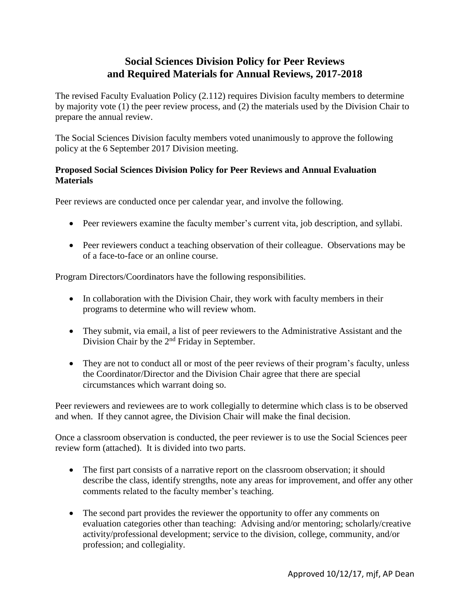## **Social Sciences Division Policy for Peer Reviews and Required Materials for Annual Reviews, 2017-2018**

The revised Faculty Evaluation Policy (2.112) requires Division faculty members to determine by majority vote (1) the peer review process, and (2) the materials used by the Division Chair to prepare the annual review.

The Social Sciences Division faculty members voted unanimously to approve the following policy at the 6 September 2017 Division meeting.

## **Proposed Social Sciences Division Policy for Peer Reviews and Annual Evaluation Materials**

Peer reviews are conducted once per calendar year, and involve the following.

- Peer reviewers examine the faculty member's current vita, job description, and syllabi.
- Peer reviewers conduct a teaching observation of their colleague. Observations may be of a face-to-face or an online course.

Program Directors/Coordinators have the following responsibilities.

- In collaboration with the Division Chair, they work with faculty members in their programs to determine who will review whom.
- They submit, via email, a list of peer reviewers to the Administrative Assistant and the Division Chair by the 2<sup>nd</sup> Friday in September.
- They are not to conduct all or most of the peer reviews of their program's faculty, unless the Coordinator/Director and the Division Chair agree that there are special circumstances which warrant doing so.

Peer reviewers and reviewees are to work collegially to determine which class is to be observed and when. If they cannot agree, the Division Chair will make the final decision.

Once a classroom observation is conducted, the peer reviewer is to use the Social Sciences peer review form (attached). It is divided into two parts.

- The first part consists of a narrative report on the classroom observation; it should describe the class, identify strengths, note any areas for improvement, and offer any other comments related to the faculty member's teaching.
- The second part provides the reviewer the opportunity to offer any comments on evaluation categories other than teaching: Advising and/or mentoring; scholarly/creative activity/professional development; service to the division, college, community, and/or profession; and collegiality.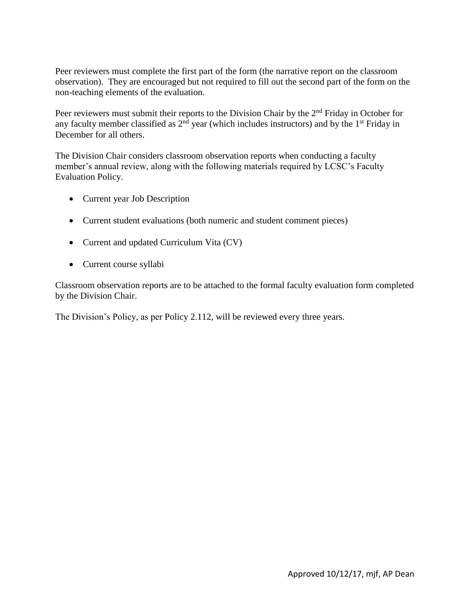Peer reviewers must complete the first part of the form (the narrative report on the classroom observation). They are encouraged but not required to fill out the second part of the form on the non-teaching elements of the evaluation.

Peer reviewers must submit their reports to the Division Chair by the 2<sup>nd</sup> Friday in October for any faculty member classified as  $2<sup>nd</sup>$  year (which includes instructors) and by the 1<sup>st</sup> Friday in December for all others.

The Division Chair considers classroom observation reports when conducting a faculty member's annual review, along with the following materials required by LCSC's Faculty Evaluation Policy.

- Current year Job Description
- Current student evaluations (both numeric and student comment pieces)
- Current and updated Curriculum Vita (CV)
- Current course syllabi

Classroom observation reports are to be attached to the formal faculty evaluation form completed by the Division Chair.

The Division's Policy, as per Policy 2.112, will be reviewed every three years.